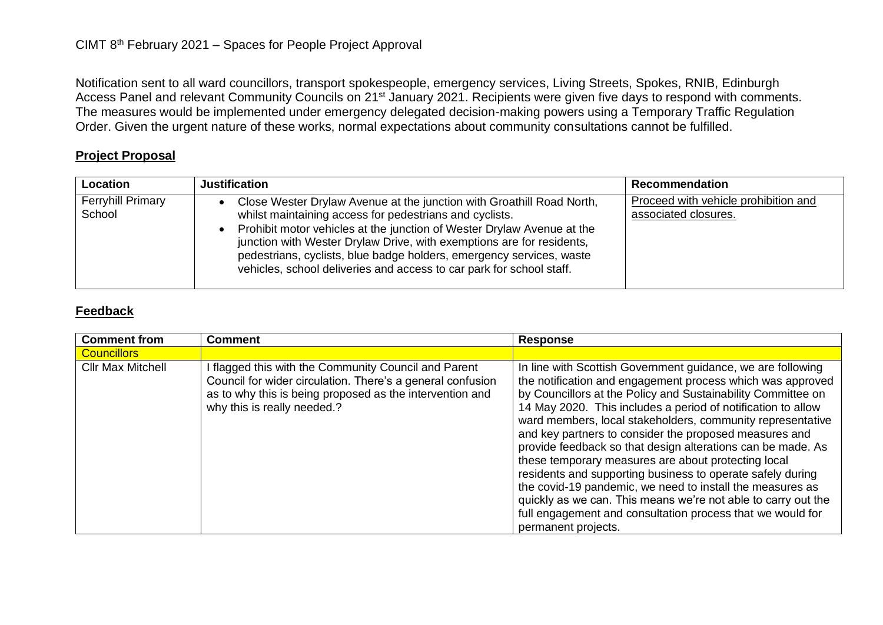Notification sent to all ward councillors, transport spokespeople, emergency services, Living Streets, Spokes, RNIB, Edinburgh Access Panel and relevant Community Councils on 21<sup>st</sup> January 2021. Recipients were given five days to respond with comments. The measures would be implemented under emergency delegated decision-making powers using a Temporary Traffic Regulation Order. Given the urgent nature of these works, normal expectations about community consultations cannot be fulfilled.

## **Project Proposal**

| Location                           | <b>Justification</b>                                                                                                                                                                                                                                                                                                                                                                                                                | <b>Recommendation</b>                                        |
|------------------------------------|-------------------------------------------------------------------------------------------------------------------------------------------------------------------------------------------------------------------------------------------------------------------------------------------------------------------------------------------------------------------------------------------------------------------------------------|--------------------------------------------------------------|
| <b>Ferryhill Primary</b><br>School | Close Wester Drylaw Avenue at the junction with Groathill Road North,<br>whilst maintaining access for pedestrians and cyclists.<br>Prohibit motor vehicles at the junction of Wester Drylaw Avenue at the<br>junction with Wester Drylaw Drive, with exemptions are for residents,<br>pedestrians, cyclists, blue badge holders, emergency services, waste<br>vehicles, school deliveries and access to car park for school staff. | Proceed with vehicle prohibition and<br>associated closures. |

## **Feedback**

| <b>Comment from</b>      | <b>Comment</b>                                                                                                                                                                                              | <b>Response</b>                                                                                                                                                                                                                                                                                                                                                                                                                                                                                                                                                                                                                                                                                                                                                                          |
|--------------------------|-------------------------------------------------------------------------------------------------------------------------------------------------------------------------------------------------------------|------------------------------------------------------------------------------------------------------------------------------------------------------------------------------------------------------------------------------------------------------------------------------------------------------------------------------------------------------------------------------------------------------------------------------------------------------------------------------------------------------------------------------------------------------------------------------------------------------------------------------------------------------------------------------------------------------------------------------------------------------------------------------------------|
| <b>Councillors</b>       |                                                                                                                                                                                                             |                                                                                                                                                                                                                                                                                                                                                                                                                                                                                                                                                                                                                                                                                                                                                                                          |
| <b>Cllr Max Mitchell</b> | flagged this with the Community Council and Parent<br>Council for wider circulation. There's a general confusion<br>as to why this is being proposed as the intervention and<br>why this is really needed.? | In line with Scottish Government guidance, we are following<br>the notification and engagement process which was approved<br>by Councillors at the Policy and Sustainability Committee on<br>14 May 2020. This includes a period of notification to allow<br>ward members, local stakeholders, community representative<br>and key partners to consider the proposed measures and<br>provide feedback so that design alterations can be made. As<br>these temporary measures are about protecting local<br>residents and supporting business to operate safely during<br>the covid-19 pandemic, we need to install the measures as<br>quickly as we can. This means we're not able to carry out the<br>full engagement and consultation process that we would for<br>permanent projects. |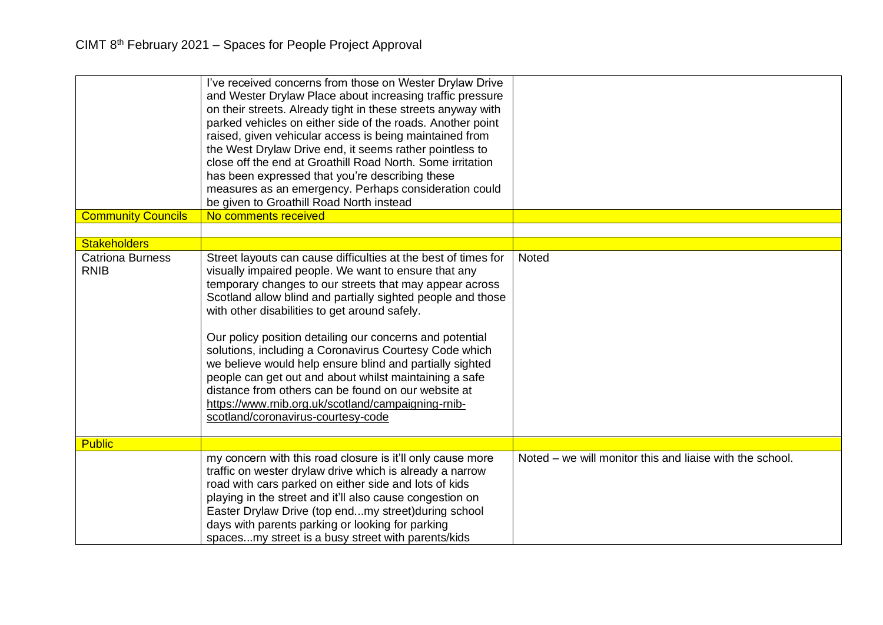| <b>Community Councils</b>              | I've received concerns from those on Wester Drylaw Drive<br>and Wester Drylaw Place about increasing traffic pressure<br>on their streets. Already tight in these streets anyway with<br>parked vehicles on either side of the roads. Another point<br>raised, given vehicular access is being maintained from<br>the West Drylaw Drive end, it seems rather pointless to<br>close off the end at Groathill Road North. Some irritation<br>has been expressed that you're describing these<br>measures as an emergency. Perhaps consideration could<br>be given to Groathill Road North instead<br>No comments received                                                                          |                                                          |
|----------------------------------------|--------------------------------------------------------------------------------------------------------------------------------------------------------------------------------------------------------------------------------------------------------------------------------------------------------------------------------------------------------------------------------------------------------------------------------------------------------------------------------------------------------------------------------------------------------------------------------------------------------------------------------------------------------------------------------------------------|----------------------------------------------------------|
| <b>Stakeholders</b>                    |                                                                                                                                                                                                                                                                                                                                                                                                                                                                                                                                                                                                                                                                                                  |                                                          |
| <b>Catriona Burness</b><br><b>RNIB</b> | Street layouts can cause difficulties at the best of times for<br>visually impaired people. We want to ensure that any<br>temporary changes to our streets that may appear across<br>Scotland allow blind and partially sighted people and those<br>with other disabilities to get around safely.<br>Our policy position detailing our concerns and potential<br>solutions, including a Coronavirus Courtesy Code which<br>we believe would help ensure blind and partially sighted<br>people can get out and about whilst maintaining a safe<br>distance from others can be found on our website at<br>https://www.rnib.org.uk/scotland/campaigning-rnib-<br>scotland/coronavirus-courtesy-code | Noted                                                    |
| <b>Public</b>                          |                                                                                                                                                                                                                                                                                                                                                                                                                                                                                                                                                                                                                                                                                                  |                                                          |
|                                        | my concern with this road closure is it'll only cause more<br>traffic on wester drylaw drive which is already a narrow<br>road with cars parked on either side and lots of kids<br>playing in the street and it'll also cause congestion on<br>Easter Drylaw Drive (top endmy street) during school<br>days with parents parking or looking for parking<br>spacesmy street is a busy street with parents/kids                                                                                                                                                                                                                                                                                    | Noted – we will monitor this and liaise with the school. |